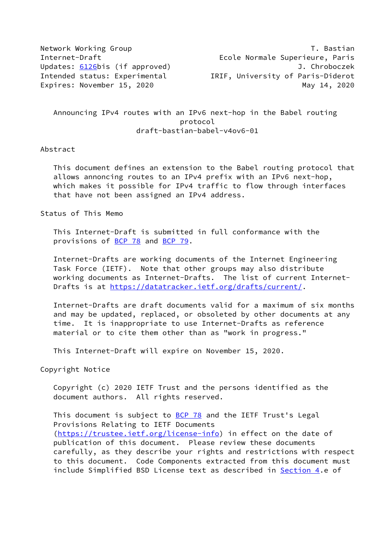Network Working Group T. Bastian Internet-Draft Ecole Normale Superieure, Paris Updates: [6126](https://datatracker.ietf.org/doc/pdf/rfc6126)bis (if approved) J. Chroboczek Intended status: Experimental IRIF, University of Paris-Diderot Expires: November 15, 2020 and the control of the May 14, 2020 May 14, 2020

 Announcing IPv4 routes with an IPv6 next-hop in the Babel routing protocol draft-bastian-babel-v4ov6-01

### Abstract

 This document defines an extension to the Babel routing protocol that allows annoncing routes to an IPv4 prefix with an IPv6 next-hop, which makes it possible for IPv4 traffic to flow through interfaces that have not been assigned an IPv4 address.

Status of This Memo

 This Internet-Draft is submitted in full conformance with the provisions of [BCP 78](https://datatracker.ietf.org/doc/pdf/bcp78) and [BCP 79](https://datatracker.ietf.org/doc/pdf/bcp79).

 Internet-Drafts are working documents of the Internet Engineering Task Force (IETF). Note that other groups may also distribute working documents as Internet-Drafts. The list of current Internet- Drafts is at<https://datatracker.ietf.org/drafts/current/>.

 Internet-Drafts are draft documents valid for a maximum of six months and may be updated, replaced, or obsoleted by other documents at any time. It is inappropriate to use Internet-Drafts as reference material or to cite them other than as "work in progress."

This Internet-Draft will expire on November 15, 2020.

Copyright Notice

 Copyright (c) 2020 IETF Trust and the persons identified as the document authors. All rights reserved.

This document is subject to **[BCP 78](https://datatracker.ietf.org/doc/pdf/bcp78)** and the IETF Trust's Legal Provisions Relating to IETF Documents [\(https://trustee.ietf.org/license-info](https://trustee.ietf.org/license-info)) in effect on the date of publication of this document. Please review these documents carefully, as they describe your rights and restrictions with respect to this document. Code Components extracted from this document must include Simplified BSD License text as described in [Section 4.](#page-4-0)e of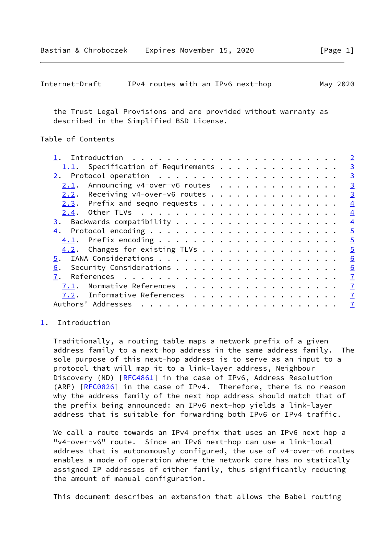```
Internet-Draft IPv4 routes with an IPv6 next-hop May 2020
```
 the Trust Legal Provisions and are provided without warranty as described in the Simplified BSD License.

# Table of Contents

|      |                                     |  |  |  |  |  |  |  |  | $\overline{2}$ |
|------|-------------------------------------|--|--|--|--|--|--|--|--|----------------|
|      |                                     |  |  |  |  |  |  |  |  | $\overline{3}$ |
|      |                                     |  |  |  |  |  |  |  |  | $\overline{3}$ |
| 2.1. | Announcing v4-over-v6 routes        |  |  |  |  |  |  |  |  | $\overline{3}$ |
| 2.2. | Receiving $v4$ -over-v6 routes      |  |  |  |  |  |  |  |  | $\overline{3}$ |
|      | $2.3$ . Prefix and seqno requests   |  |  |  |  |  |  |  |  | $\overline{4}$ |
| 2.4. |                                     |  |  |  |  |  |  |  |  | $\overline{4}$ |
|      |                                     |  |  |  |  |  |  |  |  | $\overline{4}$ |
|      |                                     |  |  |  |  |  |  |  |  | $\overline{5}$ |
|      |                                     |  |  |  |  |  |  |  |  | $\overline{5}$ |
|      | $4.2$ . Changes for existing TLVs   |  |  |  |  |  |  |  |  | $\overline{5}$ |
| 5.   |                                     |  |  |  |  |  |  |  |  | 6              |
| 6.   |                                     |  |  |  |  |  |  |  |  | 6              |
| 7.   |                                     |  |  |  |  |  |  |  |  | $\overline{1}$ |
| 7.1. | Normative References                |  |  |  |  |  |  |  |  | $\overline{1}$ |
|      | <u>7.2</u> . Informative References |  |  |  |  |  |  |  |  | $\overline{1}$ |
|      | Authors' Addresses                  |  |  |  |  |  |  |  |  | $\overline{1}$ |
|      |                                     |  |  |  |  |  |  |  |  |                |

#### <span id="page-1-0"></span>[1](#page-1-0). Introduction

 Traditionally, a routing table maps a network prefix of a given address family to a next-hop address in the same address family. The sole purpose of this next-hop address is to serve as an input to a protocol that will map it to a link-layer address, Neighbour Discovery (ND) [\[RFC4861](https://datatracker.ietf.org/doc/pdf/rfc4861)] in the case of IPv6, Address Resolution (ARP) [[RFC0826](https://datatracker.ietf.org/doc/pdf/rfc0826)] in the case of IPv4. Therefore, there is no reason why the address family of the next hop address should match that of the prefix being announced: an IPv6 next-hop yields a link-layer address that is suitable for forwarding both IPv6 or IPv4 traffic.

 We call a route towards an IPv4 prefix that uses an IPv6 next hop a "v4-over-v6" route. Since an IPv6 next-hop can use a link-local address that is autonomously configured, the use of v4-over-v6 routes enables a mode of operation where the network core has no statically assigned IP addresses of either family, thus significantly reducing the amount of manual configuration.

This document describes an extension that allows the Babel routing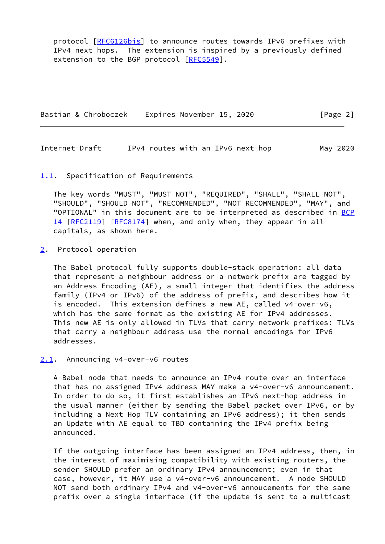protocol [\[RFC6126bis\]](#page-7-1) to announce routes towards IPv6 prefixes with IPv4 next hops. The extension is inspired by a previously defined extension to the BGP protocol [[RFC5549](https://datatracker.ietf.org/doc/pdf/rfc5549)].

Bastian & Chroboczek Expires November 15, 2020 [Page 2]

<span id="page-2-1"></span>Internet-Draft IPv4 routes with an IPv6 next-hop May 2020

#### <span id="page-2-0"></span>[1.1](#page-2-0). Specification of Requirements

 The key words "MUST", "MUST NOT", "REQUIRED", "SHALL", "SHALL NOT", "SHOULD", "SHOULD NOT", "RECOMMENDED", "NOT RECOMMENDED", "MAY", and "OPTIONAL" in this document are to be interpreted as described in [BCP](https://datatracker.ietf.org/doc/pdf/bcp14) [14](https://datatracker.ietf.org/doc/pdf/bcp14) [[RFC2119\]](https://datatracker.ietf.org/doc/pdf/rfc2119) [\[RFC8174](https://datatracker.ietf.org/doc/pdf/rfc8174)] when, and only when, they appear in all capitals, as shown here.

<span id="page-2-2"></span>[2](#page-2-2). Protocol operation

 The Babel protocol fully supports double-stack operation: all data that represent a neighbour address or a network prefix are tagged by an Address Encoding (AE), a small integer that identifies the address family (IPv4 or IPv6) of the address of prefix, and describes how it is encoded. This extension defines a new AE, called v4-over-v6, which has the same format as the existing AE for IPv4 addresses. This new AE is only allowed in TLVs that carry network prefixes: TLVs that carry a neighbour address use the normal encodings for IPv6 addresses.

## <span id="page-2-3"></span>[2.1](#page-2-3). Announcing v4-over-v6 routes

 A Babel node that needs to announce an IPv4 route over an interface that has no assigned IPv4 address MAY make a v4-over-v6 announcement. In order to do so, it first establishes an IPv6 next-hop address in the usual manner (either by sending the Babel packet over IPv6, or by including a Next Hop TLV containing an IPv6 address); it then sends an Update with AE equal to TBD containing the IPv4 prefix being announced.

 If the outgoing interface has been assigned an IPv4 address, then, in the interest of maximising compatibility with existing routers, the sender SHOULD prefer an ordinary IPv4 announcement; even in that case, however, it MAY use a v4-over-v6 announcement. A node SHOULD NOT send both ordinary IPv4 and v4-over-v6 annoucements for the same prefix over a single interface (if the update is sent to a multicast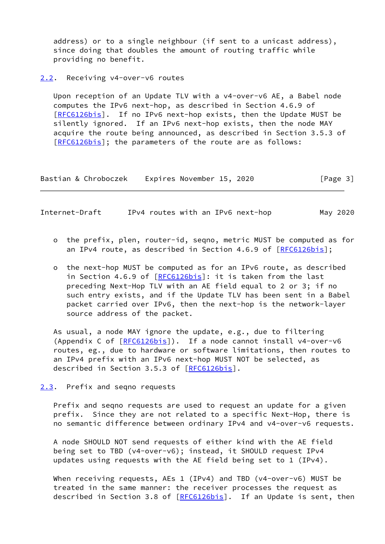address) or to a single neighbour (if sent to a unicast address), since doing that doubles the amount of routing traffic while providing no benefit.

<span id="page-3-0"></span>[2.2](#page-3-0). Receiving v4-over-v6 routes

 Upon reception of an Update TLV with a v4-over-v6 AE, a Babel node computes the IPv6 next-hop, as described in Section 4.6.9 of [\[RFC6126bis\]](#page-7-1). If no IPv6 next-hop exists, then the Update MUST be silently ignored. If an IPv6 next-hop exists, then the node MAY acquire the route being announced, as described in Section 3.5.3 of [\[RFC6126bis\]](#page-7-1); the parameters of the route are as follows:

Bastian & Chroboczek Expires November 15, 2020 [Page 3]

<span id="page-3-2"></span>Internet-Draft IPv4 routes with an IPv6 next-hop May 2020

- o the prefix, plen, router-id, seqno, metric MUST be computed as for an IPv4 route, as described in Section 4.6.9 of [[RFC6126bis\]](#page-7-1);
- o the next-hop MUST be computed as for an IPv6 route, as described in Section 4.6.9 of [\[RFC6126bis](#page-7-1)]: it is taken from the last preceding Next-Hop TLV with an AE field equal to 2 or 3; if no such entry exists, and if the Update TLV has been sent in a Babel packet carried over IPv6, then the next-hop is the network-layer source address of the packet.

 As usual, a node MAY ignore the update, e.g., due to filtering (Appendix C of [\[RFC6126bis](#page-7-1)]). If a node cannot install v4-over-v6 routes, eg., due to hardware or software limitations, then routes to an IPv4 prefix with an IPv6 next-hop MUST NOT be selected, as described in Section 3.5.3 of [[RFC6126bis\]](#page-7-1).

<span id="page-3-1"></span>[2.3](#page-3-1). Prefix and seqno requests

 Prefix and seqno requests are used to request an update for a given prefix. Since they are not related to a specific Next-Hop, there is no semantic difference between ordinary IPv4 and v4-over-v6 requests.

 A node SHOULD NOT send requests of either kind with the AE field being set to TBD (v4-over-v6); instead, it SHOULD request IPv4 updates using requests with the AE field being set to 1 (IPv4).

 When receiving requests, AEs 1 (IPv4) and TBD (v4-over-v6) MUST be treated in the same manner: the receiver processes the request as described in Section 3.8 of [\[RFC6126bis\]](#page-7-1). If an Update is sent, then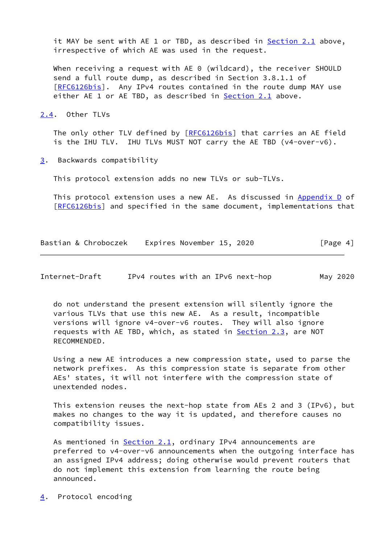it MAY be sent with AE 1 or TBD, as described in [Section 2.1](#page-2-3) above, irrespective of which AE was used in the request.

When receiving a request with AE 0 (wildcard), the receiver SHOULD send a full route dump, as described in Section 3.8.1.1 of [\[RFC6126bis\]](#page-7-1). Any IPv4 routes contained in the route dump MAY use either AE 1 or AE TBD, as described in [Section 2.1](#page-2-3) above.

<span id="page-4-1"></span>[2.4](#page-4-1). Other TLVs

The only other TLV defined by [[RFC6126bis\]](#page-7-1) that carries an AE field is the IHU TLV. IHU TLVs MUST NOT carry the AE TBD (v4-over-v6).

<span id="page-4-2"></span>[3](#page-4-2). Backwards compatibility

This protocol extension adds no new TLVs or sub-TLVs.

 This protocol extension uses a new AE. As discussed in Appendix D of [\[RFC6126bis\]](#page-7-1) and specified in the same document, implementations that

Bastian & Chroboczek Expires November 15, 2020 [Page 4]

<span id="page-4-3"></span>Internet-Draft IPv4 routes with an IPv6 next-hop May 2020

 do not understand the present extension will silently ignore the various TLVs that use this new AE. As a result, incompatible versions will ignore v4-over-v6 routes. They will also ignore requests with AE TBD, which, as stated in [Section 2.3](#page-3-1), are NOT RECOMMENDED.

 Using a new AE introduces a new compression state, used to parse the network prefixes. As this compression state is separate from other AEs' states, it will not interfere with the compression state of unextended nodes.

 This extension reuses the next-hop state from AEs 2 and 3 (IPv6), but makes no changes to the way it is updated, and therefore causes no compatibility issues.

As mentioned in **Section 2.1**, ordinary IPv4 announcements are preferred to v4-over-v6 announcements when the outgoing interface has an assigned IPv4 address; doing otherwise would prevent routers that do not implement this extension from learning the route being announced.

<span id="page-4-0"></span>[4](#page-4-0). Protocol encoding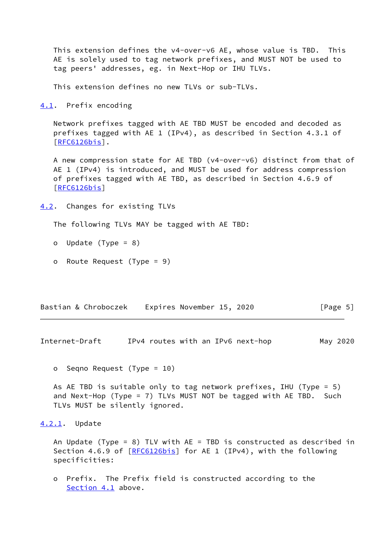This extension defines the v4-over-v6 AE, whose value is TBD. This AE is solely used to tag network prefixes, and MUST NOT be used to tag peers' addresses, eg. in Next-Hop or IHU TLVs.

This extension defines no new TLVs or sub-TLVs.

<span id="page-5-0"></span>[4.1](#page-5-0). Prefix encoding

 Network prefixes tagged with AE TBD MUST be encoded and decoded as prefixes tagged with AE 1 (IPv4), as described in Section 4.3.1 of [\[RFC6126bis\]](#page-7-1).

 A new compression state for AE TBD (v4-over-v6) distinct from that of AE 1 (IPv4) is introduced, and MUST be used for address compression of prefixes tagged with AE TBD, as described in Section 4.6.9 of [\[RFC6126bis\]](#page-7-1)

```
4.2. Changes for existing TLVs
```
The following TLVs MAY be tagged with AE TBD:

- o Update (Type = 8)
- o Route Request (Type = 9)

Bastian & Chroboczek Expires November 15, 2020 [Page 5]

<span id="page-5-2"></span>Internet-Draft IPv4 routes with an IPv6 next-hop May 2020

o Seqno Request (Type = 10)

 As AE TBD is suitable only to tag network prefixes, IHU (Type = 5) and Next-Hop (Type = 7) TLVs MUST NOT be tagged with AE TBD. Such TLVs MUST be silently ignored.

# <span id="page-5-3"></span>[4.2.1](#page-5-3). Update

 An Update (Type = 8) TLV with AE = TBD is constructed as described in Section 4.6.9 of [\[RFC6126bis\]](#page-7-1) for AE 1 (IPv4), with the following specificities:

 o Prefix. The Prefix field is constructed according to the [Section 4.1](#page-5-0) above.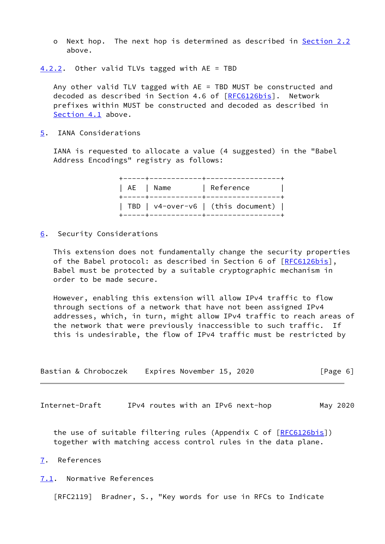- o Next hop. The next hop is determined as described in [Section 2.2](#page-3-0) above.
- <span id="page-6-5"></span>[4.2.2](#page-6-5). Other valid TLVs tagged with AE = TBD

 Any other valid TLV tagged with AE = TBD MUST be constructed and decoded as described in Section 4.6 of [\[RFC6126bis](#page-7-1)]. Network prefixes within MUST be constructed and decoded as described in [Section 4.1](#page-5-0) above.

<span id="page-6-0"></span>[5](#page-6-0). IANA Considerations

 IANA is requested to allocate a value (4 suggested) in the "Babel Address Encodings" registry as follows:

> +-----+------------+-----------------+ | AE | Name | Reference +-----+------------+-----------------+ | TBD | v4-over-v6 | (this document) | +-----+------------+-----------------+

<span id="page-6-1"></span>[6](#page-6-1). Security Considerations

 This extension does not fundamentally change the security properties of the Babel protocol: as described in Section 6 of [\[RFC6126bis\]](#page-7-1), Babel must be protected by a suitable cryptographic mechanism in order to be made secure.

 However, enabling this extension will allow IPv4 traffic to flow through sections of a network that have not been assigned IPv4 addresses, which, in turn, might allow IPv4 traffic to reach areas of the network that were previously inaccessible to such traffic. If this is undesirable, the flow of IPv4 traffic must be restricted by

| Bastian & Chroboczek | Expires November 15, 2020 | [Page 6] |
|----------------------|---------------------------|----------|
|----------------------|---------------------------|----------|

<span id="page-6-3"></span>Internet-Draft 1Pv4 routes with an IPv6 next-hop May 2020

the use of suitable filtering rules (Appendix C of [[RFC6126bis\]](#page-7-1)) together with matching access control rules in the data plane.

<span id="page-6-2"></span>[7](#page-6-2). References

<span id="page-6-4"></span>[7.1](#page-6-4). Normative References

[RFC2119] Bradner, S., "Key words for use in RFCs to Indicate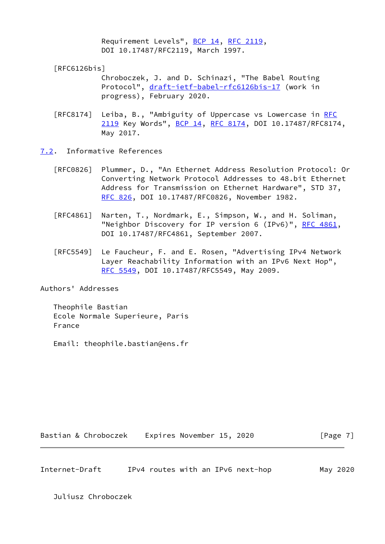Requirement Levels", [BCP 14](https://datatracker.ietf.org/doc/pdf/bcp14), [RFC 2119](https://datatracker.ietf.org/doc/pdf/rfc2119), DOI 10.17487/RFC2119, March 1997.

<span id="page-7-1"></span>[RFC6126bis]

 Chroboczek, J. and D. Schinazi, "The Babel Routing Protocol", [draft-ietf-babel-rfc6126bis-17](https://datatracker.ietf.org/doc/pdf/draft-ietf-babel-rfc6126bis-17) (work in progress), February 2020.

- [RFC8174] Leiba, B., "Ambiguity of Uppercase vs Lowercase in [RFC](https://datatracker.ietf.org/doc/pdf/rfc2119) [2119](https://datatracker.ietf.org/doc/pdf/rfc2119) Key Words", [BCP 14](https://datatracker.ietf.org/doc/pdf/bcp14), [RFC 8174,](https://datatracker.ietf.org/doc/pdf/rfc8174) DOI 10.17487/RFC8174, May 2017.
- <span id="page-7-0"></span>[7.2](#page-7-0). Informative References
	- [RFC0826] Plummer, D., "An Ethernet Address Resolution Protocol: Or Converting Network Protocol Addresses to 48.bit Ethernet Address for Transmission on Ethernet Hardware", STD 37, [RFC 826](https://datatracker.ietf.org/doc/pdf/rfc826), DOI 10.17487/RFC0826, November 1982.
	- [RFC4861] Narten, T., Nordmark, E., Simpson, W., and H. Soliman, "Neighbor Discovery for IP version 6 (IPv6)", [RFC 4861](https://datatracker.ietf.org/doc/pdf/rfc4861), DOI 10.17487/RFC4861, September 2007.
	- [RFC5549] Le Faucheur, F. and E. Rosen, "Advertising IPv4 Network Layer Reachability Information with an IPv6 Next Hop", [RFC 5549,](https://datatracker.ietf.org/doc/pdf/rfc5549) DOI 10.17487/RFC5549, May 2009.

Authors' Addresses

 Theophile Bastian Ecole Normale Superieure, Paris France

Email: theophile.bastian@ens.fr

Bastian & Chroboczek Expires November 15, 2020 [Page 7]

Internet-Draft IPv4 routes with an IPv6 next-hop May 2020

Juliusz Chroboczek